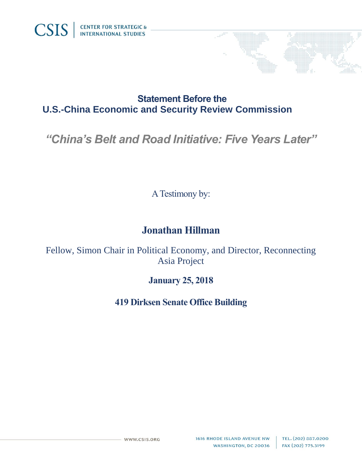

## **Statement Before the U.S.-China Economic and Security Review Commission**

# *"China's Belt and Road Initiative: Five Years Later"*

A Testimony by:

# **Jonathan Hillman**

Fellow, Simon Chair in Political Economy, and Director, Reconnecting Asia Project

### **January 25, 2018**

**419 Dirksen Senate Office Building**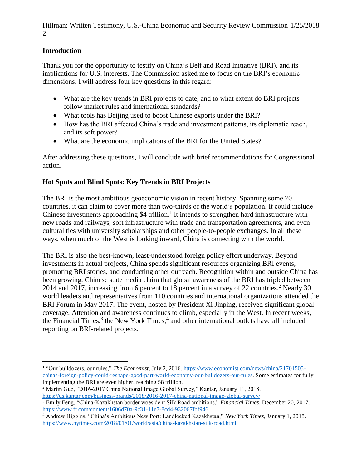#### **Introduction**

Thank you for the opportunity to testify on China's Belt and Road Initiative (BRI), and its implications for U.S. interests. The Commission asked me to focus on the BRI's economic dimensions. I will address four key questions in this regard:

- What are the key trends in BRI projects to date, and to what extent do BRI projects follow market rules and international standards?
- What tools has Beijing used to boost Chinese exports under the BRI?
- How has the BRI affected China's trade and investment patterns, its diplomatic reach, and its soft power?
- What are the economic implications of the BRI for the United States?

After addressing these questions, I will conclude with brief recommendations for Congressional action.

#### **Hot Spots and Blind Spots: Key Trends in BRI Projects**

The BRI is the most ambitious geoeconomic vision in recent history. Spanning some 70 countries, it can claim to cover more than two-thirds of the world's population. It could include Chinese investments approaching  $$4$  trillion.<sup>1</sup> It intends to strengthen hard infrastructure with new roads and railways, soft infrastructure with trade and transportation agreements, and even cultural ties with university scholarships and other people-to-people exchanges. In all these ways, when much of the West is looking inward, China is connecting with the world.

The BRI is also the best-known, least-understood foreign policy effort underway. Beyond investments in actual projects, China spends significant resources organizing BRI events, promoting BRI stories, and conducting other outreach. Recognition within and outside China has been growing. Chinese state media claim that global awareness of the BRI has tripled between 2014 and 2017, increasing from 6 percent to 18 percent in a survey of 22 countries.<sup>2</sup> Nearly 30 world leaders and representatives from 110 countries and international organizations attended the BRI Forum in May 2017. The event, hosted by President Xi Jinping, received significant global coverage. Attention and awareness continues to climb, especially in the West. In recent weeks, the Financial Times, $3$  the New York Times, $4$  and other international outlets have all included reporting on BRI-related projects.

 $\overline{a}$ <sup>1</sup> "Our bulldozers, our rules," *The Economist*, July 2, 2016[. https://www.economist.com/news/china/21701505](https://www.economist.com/news/china/21701505-chinas-foreign-policy-could-reshape-good-part-world-economy-our-bulldozers-our-rules) [chinas-foreign-policy-could-reshape-good-part-world-economy-our-bulldozers-our-rules.](https://www.economist.com/news/china/21701505-chinas-foreign-policy-could-reshape-good-part-world-economy-our-bulldozers-our-rules) Some estimates for fully implementing the BRI are even higher, reaching \$8 trillion.

<sup>2</sup> Martin Guo, "2016-2017 China National Image Global Survey," Kantar, January 11, 2018. <https://us.kantar.com/business/brands/2018/2016-2017-china-national-image-global-survey/>

<sup>3</sup> Emily Feng, "China-Kazakhstan border woes dent Silk Road ambitions," *Financial Times*, December 20, 2017. <https://www.ft.com/content/1606d70a-9c31-11e7-8cd4-932067fbf946>

<sup>4</sup> Andrew Higgins, "China's Ambitious New Port: Landlocked Kazakhstan," *New York Times*, January 1, 2018. <https://www.nytimes.com/2018/01/01/world/asia/china-kazakhstan-silk-road.html>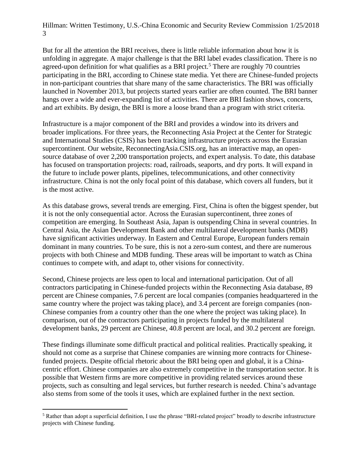But for all the attention the BRI receives, there is little reliable information about how it is unfolding in aggregate. A major challenge is that the BRI label evades classification. There is no agreed-upon definition for what qualifies as a BRI project.<sup>5</sup> There are roughly 70 countries participating in the BRI, according to Chinese state media. Yet there are Chinese-funded projects in non-participant countries that share many of the same characteristics. The BRI was officially launched in November 2013, but projects started years earlier are often counted. The BRI banner hangs over a wide and ever-expanding list of activities. There are BRI fashion shows, concerts, and art exhibits. By design, the BRI is more a loose brand than a program with strict criteria.

Infrastructure is a major component of the BRI and provides a window into its drivers and broader implications. For three years, the Reconnecting Asia Project at the Center for Strategic and International Studies (CSIS) has been tracking infrastructure projects across the Eurasian supercontinent. Our website, ReconnectingAsia.CSIS.org, has an interactive map, an opensource database of over 2,200 transportation projects, and expert analysis. To date, this database has focused on transportation projects: road, railroads, seaports, and dry ports. It will expand in the future to include power plants, pipelines, telecommunications, and other connectivity infrastructure. China is not the only focal point of this database, which covers all funders, but it is the most active.

As this database grows, several trends are emerging. First, China is often the biggest spender, but it is not the only consequential actor. Across the Eurasian supercontinent, three zones of competition are emerging. In Southeast Asia, Japan is outspending China in several countries. In Central Asia, the Asian Development Bank and other multilateral development banks (MDB) have significant activities underway. In Eastern and Central Europe, European funders remain dominant in many countries. To be sure, this is not a zero-sum contest, and there are numerous projects with both Chinese and MDB funding. These areas will be important to watch as China continues to compete with, and adapt to, other visions for connectivity.

Second, Chinese projects are less open to local and international participation. Out of all contractors participating in Chinese-funded projects within the Reconnecting Asia database, 89 percent are Chinese companies, 7.6 percent are local companies (companies headquartered in the same country where the project was taking place), and 3.4 percent are foreign companies (non-Chinese companies from a country other than the one where the project was taking place). In comparison, out of the contractors participating in projects funded by the multilateral development banks, 29 percent are Chinese, 40.8 percent are local, and 30.2 percent are foreign.

These findings illuminate some difficult practical and political realities. Practically speaking, it should not come as a surprise that Chinese companies are winning more contracts for Chinesefunded projects. Despite official rhetoric about the BRI being open and global, it is a Chinacentric effort. Chinese companies are also extremely competitive in the transportation sector. It is possible that Western firms are more competitive in providing related services around these projects, such as consulting and legal services, but further research is needed. China's advantage also stems from some of the tools it uses, which are explained further in the next section.

 $\overline{a}$ <sup>5</sup> Rather than adopt a superficial definition, I use the phrase "BRI-related project" broadly to describe infrastructure projects with Chinese funding.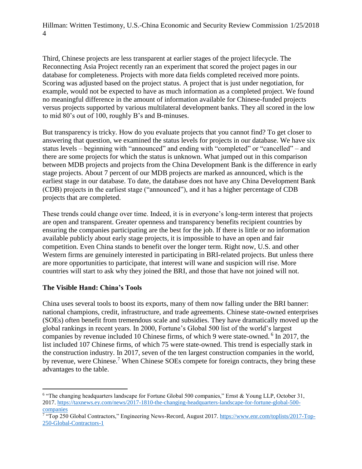Third, Chinese projects are less transparent at earlier stages of the project lifecycle. The Reconnecting Asia Project recently ran an experiment that scored the project pages in our database for completeness. Projects with more data fields completed received more points. Scoring was adjusted based on the project status. A project that is just under negotiation, for example, would not be expected to have as much information as a completed project. We found no meaningful difference in the amount of information available for Chinese-funded projects versus projects supported by various multilateral development banks. They all scored in the low to mid 80's out of 100, roughly B's and B-minuses.

But transparency is tricky. How do you evaluate projects that you cannot find? To get closer to answering that question, we examined the status levels for projects in our database. We have six status levels – beginning with "announced" and ending with "completed" or "cancelled" – and there are some projects for which the status is unknown. What jumped out in this comparison between MDB projects and projects from the China Development Bank is the difference in early stage projects. About 7 percent of our MDB projects are marked as announced, which is the earliest stage in our database. To date, the database does not have any China Development Bank (CDB) projects in the earliest stage ("announced"), and it has a higher percentage of CDB projects that are completed.

These trends could change over time. Indeed, it is in everyone's long-term interest that projects are open and transparent. Greater openness and transparency benefits recipient countries by ensuring the companies participating are the best for the job. If there is little or no information available publicly about early stage projects, it is impossible to have an open and fair competition. Even China stands to benefit over the longer term. Right now, U.S. and other Western firms are genuinely interested in participating in BRI-related projects. But unless there are more opportunities to participate, that interest will wane and suspicion will rise. More countries will start to ask why they joined the BRI, and those that have not joined will not.

#### **The Visible Hand: China's Tools**

China uses several tools to boost its exports, many of them now falling under the BRI banner: national champions, credit, infrastructure, and trade agreements. Chinese state-owned enterprises (SOEs) often benefit from tremendous scale and subsidies. They have dramatically moved up the global rankings in recent years. In 2000, Fortune's Global 500 list of the world's largest companies by revenue included 10 Chinese firms, of which 9 were state-owned. <sup>6</sup> In 2017, the list included 107 Chinese firms, of which 75 were state-owned. This trend is especially stark in the construction industry. In 2017, seven of the ten largest construction companies in the world, by revenue, were Chinese.<sup>7</sup> When Chinese SOEs compete for foreign contracts, they bring these advantages to the table.

 $\overline{a}$ <sup>6</sup> "The changing headquarters landscape for Fortune Global 500 companies," Ernst & Young LLP, October 31, 2017. [https://taxnews.ey.com/news/2017-1810-the-changing-headquarters-landscape-for-fortune-global-500-](https://taxnews.ey.com/news/2017-1810-the-changing-headquarters-landscape-for-fortune-global-500-companies)

[companies](https://taxnews.ey.com/news/2017-1810-the-changing-headquarters-landscape-for-fortune-global-500-companies)<br><sup>7</sup> "Top 250 Global Contractors," Engineering News-Record, August 2017. [https://www.enr.com/toplists/2017-Top-](https://www.enr.com/toplists/2017-Top-250-Global-Contractors-1)[250-Global-Contractors-1](https://www.enr.com/toplists/2017-Top-250-Global-Contractors-1)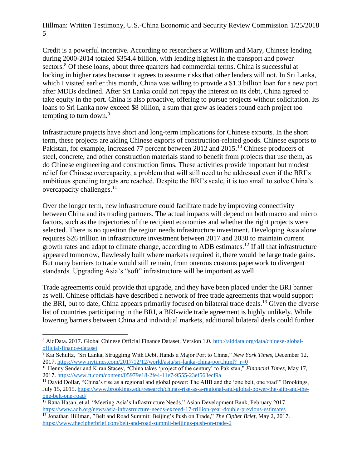Credit is a powerful incentive. According to researchers at William and Mary, Chinese lending during 2000-2014 totaled \$354.4 billion, with lending highest in the transport and power sectors.<sup>8</sup> Of these loans, about three quarters had commercial terms. China is successful at locking in higher rates because it agrees to assume risks that other lenders will not. In Sri Lanka, which I visited earlier this month, China was willing to provide a \$1.3 billion loan for a new port after MDBs declined. After Sri Lanka could not repay the interest on its debt, China agreed to take equity in the port. China is also proactive, offering to pursue projects without solicitation. Its loans to Sri Lanka now exceed \$8 billion, a sum that grew as leaders found each project too tempting to turn down. $9$ 

Infrastructure projects have short and long-term implications for Chinese exports. In the short term, these projects are aiding Chinese exports of construction-related goods. Chinese exports to Pakistan, for example, increased 77 percent between 2012 and 2015.<sup>10</sup> Chinese producers of steel, concrete, and other construction materials stand to benefit from projects that use them, as do Chinese engineering and construction firms. These activities provide important but modest relief for Chinese overcapacity, a problem that will still need to be addressed even if the BRI's ambitious spending targets are reached. Despite the BRI's scale, it is too small to solve China's overcapacity challenges.<sup>11</sup>

Over the longer term, new infrastructure could facilitate trade by improving connectivity between China and its trading partners. The actual impacts will depend on both macro and micro factors, such as the trajectories of the recipient economies and whether the right projects were selected. There is no question the region needs infrastructure investment. Developing Asia alone requires \$26 trillion in infrastructure investment between 2017 and 2030 to maintain current growth rates and adapt to climate change, according to ADB estimates.<sup>12</sup> If all that infrastructure appeared tomorrow, flawlessly built where markets required it, there would be large trade gains. But many barriers to trade would still remain, from onerous customs paperwork to divergent standards. Upgrading Asia's "soft" infrastructure will be important as well.

Trade agreements could provide that upgrade, and they have been placed under the BRI banner as well. Chinese officials have described a network of free trade agreements that would support the BRI, but to date, China appears primarily focused on bilateral trade deals.<sup>13</sup> Given the diverse list of countries participating in the BRI, a BRI-wide trade agreement is highly unlikely. While lowering barriers between China and individual markets, additional bilateral deals could further

 $\overline{a}$ <sup>8</sup> AidData. 2017. Global Chinese Official Finance Dataset, Version 1.0. [http://aiddata.org/data/chinese-global](http://aiddata.org/data/chinese-global-official-finance-dataset)[official-finance-dataset](http://aiddata.org/data/chinese-global-official-finance-dataset)

<sup>9</sup> Kai Schultz, "Sri Lanka, Struggling With Debt, Hands a Major Port to China," *New York Times*, December 12, 2017. [https://www.nytimes.com/2017/12/12/world/asia/sri-lanka-china-port.html?\\_r=0](https://www.nytimes.com/2017/12/12/world/asia/sri-lanka-china-port.html?_r=0)

<sup>10</sup> Henny Sender and Kiran Stacey, "China takes 'project of the century' to Pakistan," *Financial Times*, May 17, 2017.<https://www.ft.com/content/05979e18-2fe4-11e7-9555-23ef563ecf9a>

<sup>&</sup>lt;sup>11</sup> David Dollar, "China's rise as a regional and global power: The AIIB and the 'one belt, one road'" Brookings, July 15, 2015. [https://www.brookings.edu/research/chinas-rise-as-a-regional-and-global-power-the-aiib-and-the](https://www.brookings.edu/research/chinas-rise-as-a-regional-and-global-power-the-aiib-and-the-one-belt-one-road/)[one-belt-one-road/](https://www.brookings.edu/research/chinas-rise-as-a-regional-and-global-power-the-aiib-and-the-one-belt-one-road/)

<sup>&</sup>lt;sup>12</sup> Rana Hasan, et al. "Meeting Asia's Infrastructure Needs," Asian Development Bank, February 2017. <https://www.adb.org/news/asia-infrastructure-needs-exceed-17-trillion-year-double-previous-estimates>

<sup>13</sup> Jonathan Hillman, "Belt and Road Summit: Beijing's Push on Trade," *The Cipher Brief*, May 2, 2017. <https://www.thecipherbrief.com/belt-and-road-summit-beijings-push-on-trade-2>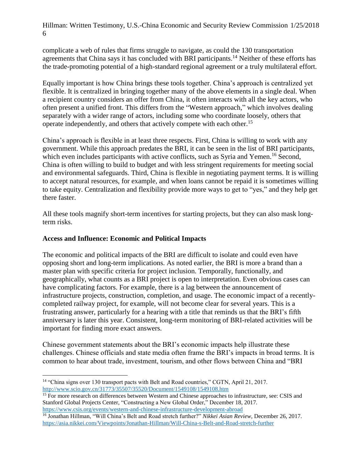complicate a web of rules that firms struggle to navigate, as could the 130 transportation agreements that China says it has concluded with BRI participants.<sup>14</sup> Neither of these efforts has the trade-promoting potential of a high-standard regional agreement or a truly multilateral effort.

Equally important is how China brings these tools together. China's approach is centralized yet flexible. It is centralized in bringing together many of the above elements in a single deal. When a recipient country considers an offer from China, it often interacts with all the key actors, who often present a unified front. This differs from the "Western approach," which involves dealing separately with a wider range of actors, including some who coordinate loosely, others that operate independently, and others that actively compete with each other.<sup>15</sup>

China's approach is flexible in at least three respects. First, China is willing to work with any government. While this approach predates the BRI, it can be seen in the list of BRI participants, which even includes participants with active conflicts, such as Syria and Yemen.<sup>16</sup> Second, China is often willing to build to budget and with less stringent requirements for meeting social and environmental safeguards. Third, China is flexible in negotiating payment terms. It is willing to accept natural resources, for example, and when loans cannot be repaid it is sometimes willing to take equity. Centralization and flexibility provide more ways to get to "yes," and they help get there faster.

All these tools magnify short-term incentives for starting projects, but they can also mask longterm risks.

#### **Access and Influence: Economic and Political Impacts**

The economic and political impacts of the BRI are difficult to isolate and could even have opposing short and long-term implications. As noted earlier, the BRI is more a brand than a master plan with specific criteria for project inclusion. Temporally, functionally, and geographically, what counts as a BRI project is open to interpretation. Even obvious cases can have complicating factors. For example, there is a lag between the announcement of infrastructure projects, construction, completion, and usage. The economic impact of a recentlycompleted railway project, for example, will not become clear for several years. This is a frustrating answer, particularly for a hearing with a title that reminds us that the BRI's fifth anniversary is later this year. Consistent, long-term monitoring of BRI-related activities will be important for finding more exact answers.

Chinese government statements about the BRI's economic impacts help illustrate these challenges. Chinese officials and state media often frame the BRI's impacts in broad terms. It is common to hear about trade, investment, tourism, and other flows between China and "BRI

 $\overline{a}$ <sup>14</sup> "China signs over 130 transport pacts with Belt and Road countries," CGTN, April 21, 2017. <http://www.scio.gov.cn/31773/35507/35520/Document/1549108/1549108.htm>

<sup>&</sup>lt;sup>15</sup> For more research on differences between Western and Chinese approaches to infrastructure, see: CSIS and Stanford Global Projects Center, "Constructing a New Global Order," December 18, 2017. <https://www.csis.org/events/western-and-chinese-infrastructure-development-abroad>

<sup>16</sup> Jonathan Hillman, "Will China's Belt and Road stretch further?" *Nikkei Asian Review*, December 26, 2017. <https://asia.nikkei.com/Viewpoints/Jonathan-Hillman/Will-China-s-Belt-and-Road-stretch-further>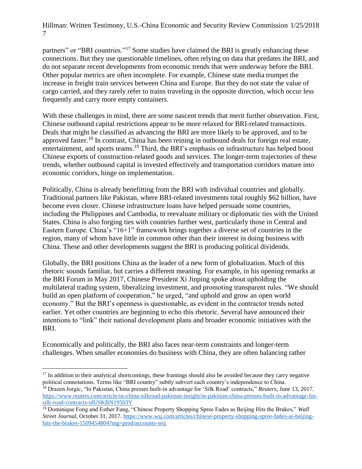partners" or "BRI countries."<sup>17</sup> Some studies have claimed the BRI is greatly enhancing these connections. But they use questionable timelines, often relying on data that predates the BRI, and do not separate recent developments from economic trends that were underway before the BRI. Other popular metrics are often incomplete. For example, Chinese state media trumpet the increase in freight train services between China and Europe. But they do not state the value of cargo carried, and they rarely refer to trains traveling in the opposite direction, which occur less frequently and carry more empty containers.

With these challenges in mind, there are some nascent trends that merit further observation. First, Chinese outbound capital restrictions appear to be more relaxed for BRI-related transactions. Deals that might be classified as advancing the BRI are more likely to be approved, and to be approved faster.<sup>18</sup> In contrast, China has been reining in outbound deals for foreign real estate, entertainment, and sports teams.<sup>19</sup> Third, the BRI's emphasis on infrastructure has helped boost Chinese exports of construction-related goods and services. The longer-term trajectories of these trends, whether outbound capital is invested effectively and transportation corridors mature into economic corridors, hinge on implementation.

Politically, China is already benefitting from the BRI with individual countries and globally. Traditional partners like Pakistan, where BRI-related investments total roughly \$62 billion, have become even closer. Chinese infrastructure loans have helped persuade some countries, including the Philippines and Cambodia, to reevaluate military or diplomatic ties with the United States. China is also forging ties with countries further west, particularly those in Central and Eastern Europe. China's "16+1" framework brings together a diverse set of countries in the region, many of whom have little in common other than their interest in doing business with China. These and other developments suggest the BRI is producing political dividends.

Globally, the BRI positions China as the leader of a new form of globalization. Much of this rhetoric sounds familiar, but carries a different meaning. For example, in his opening remarks at the BRI Forum in May 2017, Chinese President Xi Jinping spoke about upholding the multilateral trading system, liberalizing investment, and promoting transparent rules. "We should build an open platform of cooperation," he urged, "and uphold and grow an open world economy." But the BRI's openness is questionable, as evident in the contractor trends noted earlier. Yet other countries are beginning to echo this rhetoric. Several have announced their intentions to "link" their national development plans and broader economic initiatives with the BRI.

Economically and politically, the BRI also faces near-term constraints and longer-term challenges. When smaller economies do business with China, they are often balancing rather

 $\overline{a}$ 

 $17$  In addition to their analytical shortcomings, these framings should also be avoided because they carry negative political connotations. Terms like "BRI country" subtly subvert each country's independence to China. <sup>18</sup> Drazen Jorgic, "In Pakistan, China presses built-in advantage for 'Silk Road' contracts," *Reuters*, June 13, 2017.

[https://www.reuters.com/article/us-china-silkroad-pakistan-insight/in-pakistan-china-presses-built-in-advantage-for](https://www.reuters.com/article/us-china-silkroad-pakistan-insight/in-pakistan-china-presses-built-in-advantage-for-silk-road-contracts-idUSKBN19503Y)[silk-road-contracts-idUSKBN19503Y](https://www.reuters.com/article/us-china-silkroad-pakistan-insight/in-pakistan-china-presses-built-in-advantage-for-silk-road-contracts-idUSKBN19503Y)

<sup>19</sup> Dominique Fong and Esther Fung, "Chinese Property Shopping Spree Fades as Beijing Hits the Brakes," *Wall Street Journal*, October 31, 2017[. https://www.wsj.com/articles/chinese-property-shopping-spree-fades-as-beijing](https://www.wsj.com/articles/chinese-property-shopping-spree-fades-as-beijing-hits-the-brakes-1509454804?mg=prod/accounts-wsj)[hits-the-brakes-1509454804?mg=prod/accounts-wsj](https://www.wsj.com/articles/chinese-property-shopping-spree-fades-as-beijing-hits-the-brakes-1509454804?mg=prod/accounts-wsj)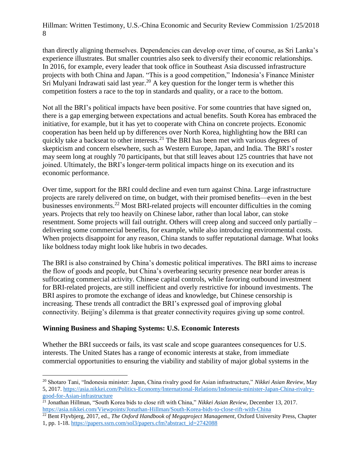than directly aligning themselves. Dependencies can develop over time, of course, as Sri Lanka's experience illustrates. But smaller countries also seek to diversify their economic relationships. In 2016, for example, every leader that took office in Southeast Asia discussed infrastructure projects with both China and Japan. "This is a good competition," Indonesia's Finance Minister Sri Mulyani Indrawati said last year.<sup>20</sup> A key question for the longer term is whether this competition fosters a race to the top in standards and quality, or a race to the bottom.

Not all the BRI's political impacts have been positive. For some countries that have signed on, there is a gap emerging between expectations and actual benefits. South Korea has embraced the initiative, for example, but it has yet to cooperate with China on concrete projects. Economic cooperation has been held up by differences over North Korea, highlighting how the BRI can quickly take a backseat to other interests.<sup>21</sup> The BRI has been met with various degrees of skepticism and concern elsewhere, such as Western Europe, Japan, and India. The BRI's roster may seem long at roughly 70 participants, but that still leaves about 125 countries that have not joined. Ultimately, the BRI's longer-term political impacts hinge on its execution and its economic performance.

Over time, support for the BRI could decline and even turn against China. Large infrastructure projects are rarely delivered on time, on budget, with their promised benefits—even in the best businesses environments.<sup>22</sup> Most BRI-related projects will encounter difficulties in the coming years. Projects that rely too heavily on Chinese labor, rather than local labor, can stoke resentment. Some projects will fail outright. Others will creep along and succeed only partially – delivering some commercial benefits, for example, while also introducing environmental costs. When projects disappoint for any reason, China stands to suffer reputational damage. What looks like boldness today might look like hubris in two decades.

The BRI is also constrained by China's domestic political imperatives. The BRI aims to increase the flow of goods and people, but China's overbearing security presence near border areas is suffocating commercial activity. Chinese capital controls, while favoring outbound investment for BRI-related projects, are still inefficient and overly restrictive for inbound investments. The BRI aspires to promote the exchange of ideas and knowledge, but Chinese censorship is increasing. These trends all contradict the BRI's expressed goal of improving global connectivity. Beijing's dilemma is that greater connectivity requires giving up some control.

#### **Winning Business and Shaping Systems: U.S. Economic Interests**

 $\overline{a}$ 

Whether the BRI succeeds or fails, its vast scale and scope guarantees consequences for U.S. interests. The United States has a range of economic interests at stake, from immediate commercial opportunities to ensuring the viability and stability of major global systems in the

<sup>20</sup> Shotaro Tani, "Indonesia minister: Japan, China rivalry good for Asian infrastructure," *Nikkei Asian Review*, May 5, 2017. [https://asia.nikkei.com/Politics-Economy/International-Relations/Indonesia-minister-Japan-China-rivalry](https://asia.nikkei.com/Politics-Economy/International-Relations/Indonesia-minister-Japan-China-rivalry-good-for-Asian-infrastructure)[good-for-Asian-infrastructure](https://asia.nikkei.com/Politics-Economy/International-Relations/Indonesia-minister-Japan-China-rivalry-good-for-Asian-infrastructure)

<sup>21</sup> Jonathan Hillman, "South Korea bids to close rift with China," *Nikkei Asian Review*, December 13, 2017. <https://asia.nikkei.com/Viewpoints/Jonathan-Hillman/South-Korea-bids-to-close-rift-with-China>

<sup>22</sup> Bent Flyvbjerg, 2017, ed., *The Oxford Handbook of Megaproject Management*, Oxford University Press, Chapter 1, pp. 1-18. [https://papers.ssrn.com/sol3/papers.cfm?abstract\\_id=2742088](https://papers.ssrn.com/sol3/papers.cfm?abstract_id=2742088)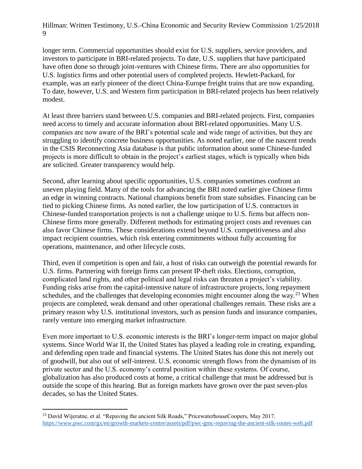longer term. Commercial opportunities should exist for U.S. suppliers, service providers, and investors to participate in BRI-related projects. To date, U.S. suppliers that have participated have often done so through joint-ventures with Chinese firms. There are also opportunities for U.S. logistics firms and other potential users of completed projects. Hewlett-Packard, for example, was an early pioneer of the direct China-Europe freight trains that are now expanding. To date, however, U.S. and Western firm participation in BRI-related projects has been relatively modest.

At least three barriers stand between U.S. companies and BRI-related projects. First, companies need access to timely and accurate information about BRI-related opportunities. Many U.S. companies are now aware of the BRI's potential scale and wide range of activities, but they are struggling to identify concrete business opportunities. As noted earlier, one of the nascent trends in the CSIS Reconnecting Asia database is that public information about some Chinese-funded projects is more difficult to obtain in the project's earliest stages, which is typically when bids are solicited. Greater transparency would help.

Second, after learning about specific opportunities, U.S. companies sometimes confront an uneven playing field. Many of the tools for advancing the BRI noted earlier give Chinese firms an edge in winning contracts. National champions benefit from state subsidies. Financing can be tied to picking Chinese firms. As noted earlier, the low participation of U.S. contractors in Chinese-funded transportation projects is not a challenge unique to U.S. firms but affects non-Chinese firms more generally. Different methods for estimating project costs and revenues can also favor Chinese firms. These considerations extend beyond U.S. competitiveness and also impact recipient countries, which risk entering commitments without fully accounting for operations, maintenance, and other lifecycle costs.

Third, even if competition is open and fair, a host of risks can outweigh the potential rewards for U.S. firms. Partnering with foreign firms can present IP-theft risks. Elections, corruption, complicated land rights, and other political and legal risks can threaten a project's viability. Funding risks arise from the capital-intensive nature of infrastructure projects, long repayment schedules, and the challenges that developing economies might encounter along the way.<sup>23</sup> When projects are completed, weak demand and other operational challenges remain. These risks are a primary reason why U.S. institutional investors, such as pension funds and insurance companies, rarely venture into emerging market infrastructure.

Even more important to U.S. economic interests is the BRI's longer-term impact on major global systems. Since World War II, the United States has played a leading role in creating, expanding, and defending open trade and financial systems. The United States has done this not merely out of goodwill, but also out of self-interest. U.S. economic strength flows from the dynamism of its private sector and the U.S. economy's central position within these systems. Of course, globalization has also produced costs at home, a critical challenge that must be addressed but is outside the scope of this hearing. But as foreign markets have grown over the past seven-plus decades, so has the United States.

 $\overline{a}$ <sup>23</sup> David Wijeratne, et al. "Repaving the ancient Silk Roads," PricewaterhouseCoopers, May 2017. <https://www.pwc.com/gx/en/growth-markets-centre/assets/pdf/pwc-gmc-repaving-the-ancient-silk-routes-web.pdf>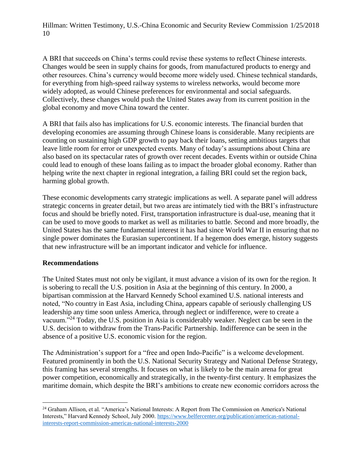A BRI that succeeds on China's terms could revise these systems to reflect Chinese interests. Changes would be seen in supply chains for goods, from manufactured products to energy and other resources. China's currency would become more widely used. Chinese technical standards, for everything from high-speed railway systems to wireless networks, would become more widely adopted, as would Chinese preferences for environmental and social safeguards. Collectively, these changes would push the United States away from its current position in the global economy and move China toward the center.

A BRI that fails also has implications for U.S. economic interests. The financial burden that developing economies are assuming through Chinese loans is considerable. Many recipients are counting on sustaining high GDP growth to pay back their loans, setting ambitious targets that leave little room for error or unexpected events. Many of today's assumptions about China are also based on its spectacular rates of growth over recent decades. Events within or outside China could lead to enough of these loans failing as to impact the broader global economy. Rather than helping write the next chapter in regional integration, a failing BRI could set the region back, harming global growth.

These economic developments carry strategic implications as well. A separate panel will address strategic concerns in greater detail, but two areas are intimately tied with the BRI's infrastructure focus and should be briefly noted. First, transportation infrastructure is dual-use, meaning that it can be used to move goods to market as well as militaries to battle. Second and more broadly, the United States has the same fundamental interest it has had since World War II in ensuring that no single power dominates the Eurasian supercontinent. If a hegemon does emerge, history suggests that new infrastructure will be an important indicator and vehicle for influence.

#### **Recommendations**

The United States must not only be vigilant, it must advance a vision of its own for the region. It is sobering to recall the U.S. position in Asia at the beginning of this century. In 2000, a bipartisan commission at the Harvard Kennedy School examined U.S. national interests and noted, "No country in East Asia, including China, appears capable of seriously challenging US leadership any time soon unless America, through neglect or indifference, were to create a vacuum."<sup>24</sup> Today, the U.S. position in Asia is considerably weaker. Neglect can be seen in the U.S. decision to withdraw from the Trans-Pacific Partnership. Indifference can be seen in the absence of a positive U.S. economic vision for the region.

The Administration's support for a "free and open Indo-Pacific" is a welcome development. Featured prominently in both the U.S. National Security Strategy and National Defense Strategy, this framing has several strengths. It focuses on what is likely to be the main arena for great power competition, economically and strategically, in the twenty-first century. It emphasizes the maritime domain, which despite the BRI's ambitions to create new economic corridors across the

 $\overline{a}$ <sup>24</sup> Graham Allison, et al. "America's National Interests: A Report from The Commission on America's National Interests," Harvard Kennedy School, July 2000. [https://www.belfercenter.org/publication/americas-national](https://www.belfercenter.org/publication/americas-national-interests-report-commission-americas-national-interests-2000)[interests-report-commission-americas-national-interests-2000](https://www.belfercenter.org/publication/americas-national-interests-report-commission-americas-national-interests-2000)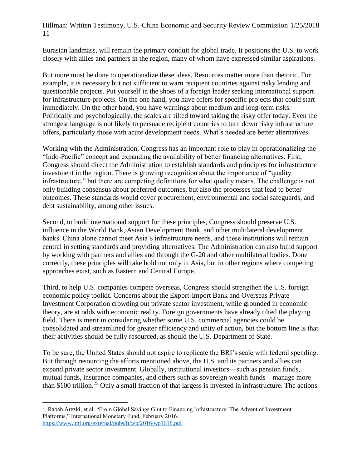Eurasian landmass, will remain the primary conduit for global trade. It positions the U.S. to work closely with allies and partners in the region, many of whom have expressed similar aspirations.

But more must be done to operationalize these ideas. Resources matter more than rhetoric. For example, it is necessary but not sufficient to warn recipient countries against risky lending and questionable projects. Put yourself in the shoes of a foreign leader seeking international support for infrastructure projects. On the one hand, you have offers for specific projects that could start immediately. On the other hand, you have warnings about medium and long-term risks. Politically and psychologically, the scales are tilted toward taking the risky offer today. Even the strongest language is not likely to persuade recipient countries to turn down risky infrastructure offers, particularly those with acute development needs. What's needed are better alternatives.

Working with the Administration, Congress has an important role to play in operationalizing the "Indo-Pacific" concept and expanding the availability of better financing alternatives. First, Congress should direct the Administration to establish standards and principles for infrastructure investment in the region. There is growing recognition about the importance of "quality infrastructure," but there are competing definitions for what quality means. The challenge is not only building consensus about preferred outcomes, but also the processes that lead to better outcomes. These standards would cover procurement, environmental and social safeguards, and debt sustainability, among other issues.

Second, to build international support for these principles, Congress should preserve U.S. influence in the World Bank, Asian Development Bank, and other multilateral development banks. China alone cannot meet Asia's infrastructure needs, and these institutions will remain central in setting standards and providing alternatives. The Administration can also build support by working with partners and allies and through the G-20 and other multilateral bodies. Done correctly, these principles will take hold not only in Asia, but in other regions where competing approaches exist, such as Eastern and Central Europe.

Third, to help U.S. companies compete overseas, Congress should strengthen the U.S. foreign economic policy toolkit. Concerns about the Export-Import Bank and Overseas Private Investment Corporation crowding out private sector investment, while grounded in economic theory, are at odds with economic reality. Foreign governments have already tilted the playing field. There is merit in considering whether some U.S. commercial agencies could be consolidated and streamlined for greater efficiency and unity of action, but the bottom line is that their activities should be fully resourced, as should the U.S. Department of State.

To be sure, the United States should not aspire to replicate the BRI's scale with federal spending. But through resourcing the efforts mentioned above, the U.S. and its partners and allies can expand private sector investment. Globally, institutional investors—such as pension funds, mutual funds, insurance companies, and others such as sovereign wealth funds—manage more than \$100 trillion.<sup>25</sup> Only a small fraction of that largess is invested in infrastructure. The actions

 $\overline{a}$ <sup>25</sup> Rabah Arezki, et al. "From Global Savings Glut to Financing Infrastructure: The Advent of Investment Platforms," International Monetary Fund, February 2016. <https://www.imf.org/external/pubs/ft/wp/2016/wp1618.pdf>